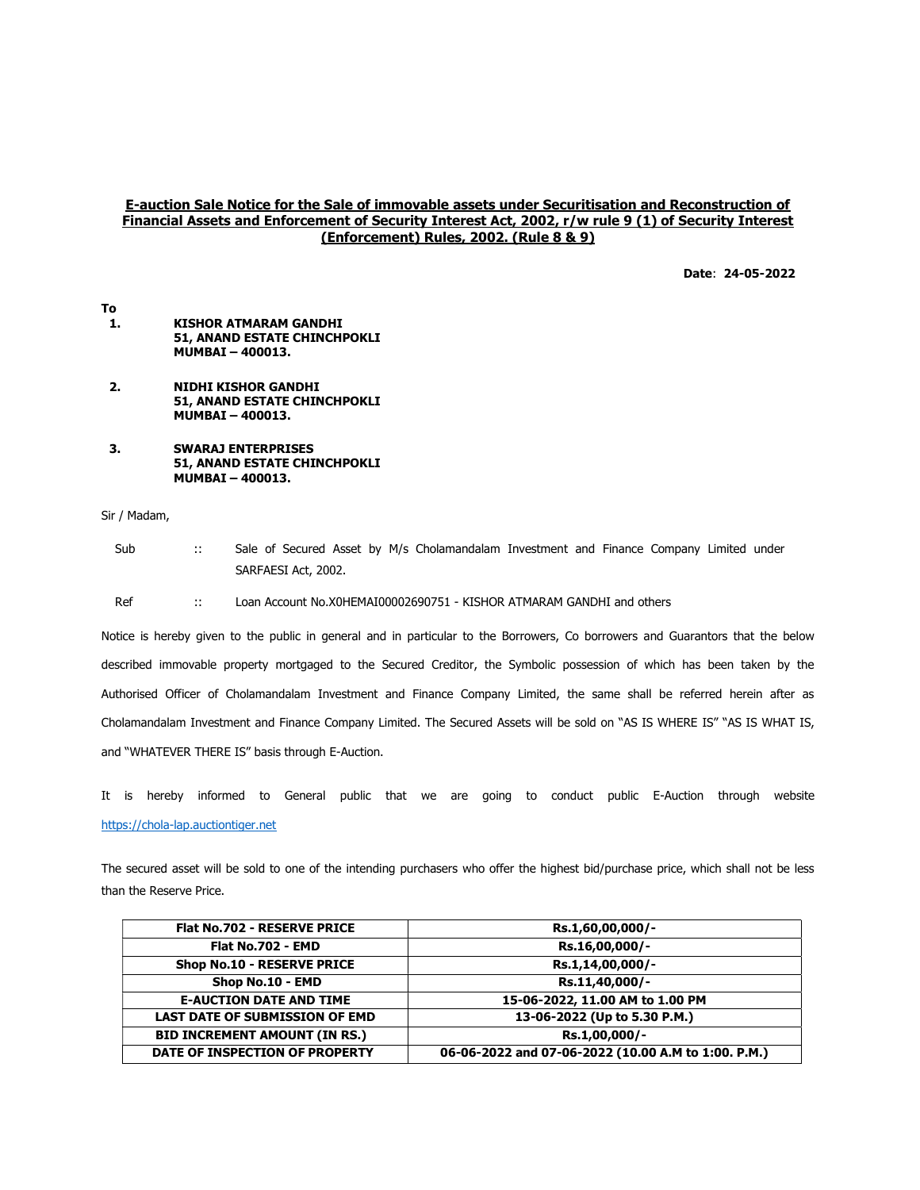## E-auction Sale Notice for the Sale of immovable assets under Securitisation and Reconstruction of Financial Assets and Enforcement of Security Interest Act, 2002, r/w rule 9 (1) of Security Interest (Enforcement) Rules, 2002. (Rule 8 & 9)

Date: 24-05-2022

- To 1. KISHOR ATMARAM GANDHI 51, ANAND ESTATE CHINCHPOKLI MUMBAI – 400013.
- 2. NIDHI KISHOR GANDHI 51, ANAND ESTATE CHINCHPOKLI MUMBAI – 400013.
- 3. SWARAJ ENTERPRISES 51, ANAND ESTATE CHINCHPOKLI MUMBAI – 400013.

Sir / Madam,

Sub :: Sale of Secured Asset by M/s Cholamandalam Investment and Finance Company Limited under SARFAESI Act, 2002.

Ref :: Loan Account No.X0HEMAI00002690751 - KISHOR ATMARAM GANDHI and others

Notice is hereby given to the public in general and in particular to the Borrowers, Co borrowers and Guarantors that the below described immovable property mortgaged to the Secured Creditor, the Symbolic possession of which has been taken by the Authorised Officer of Cholamandalam Investment and Finance Company Limited, the same shall be referred herein after as Cholamandalam Investment and Finance Company Limited. The Secured Assets will be sold on "AS IS WHERE IS" "AS IS WHAT IS, and "WHATEVER THERE IS" basis through E-Auction.

It is hereby informed to General public that we are going to conduct public E-Auction through website https://chola-lap.auctiontiger.net

The secured asset will be sold to one of the intending purchasers who offer the highest bid/purchase price, which shall not be less than the Reserve Price.

| <b>Flat No.702 - RESERVE PRICE</b>    | Rs.1,60,00,000/-                                    |
|---------------------------------------|-----------------------------------------------------|
| <b>Flat No.702 - EMD</b>              | Rs.16,00,000/-                                      |
| Shop No.10 - RESERVE PRICE            | Rs.1,14,00,000/-                                    |
| Shop No.10 - EMD                      | Rs.11,40,000/-                                      |
| <b>E-AUCTION DATE AND TIME</b>        | 15-06-2022, 11.00 AM to 1.00 PM                     |
| <b>LAST DATE OF SUBMISSION OF EMD</b> | 13-06-2022 (Up to 5.30 P.M.)                        |
| <b>BID INCREMENT AMOUNT (IN RS.)</b>  | Rs.1.00.000/-                                       |
| DATE OF INSPECTION OF PROPERTY        | 06-06-2022 and 07-06-2022 (10.00 A.M to 1:00. P.M.) |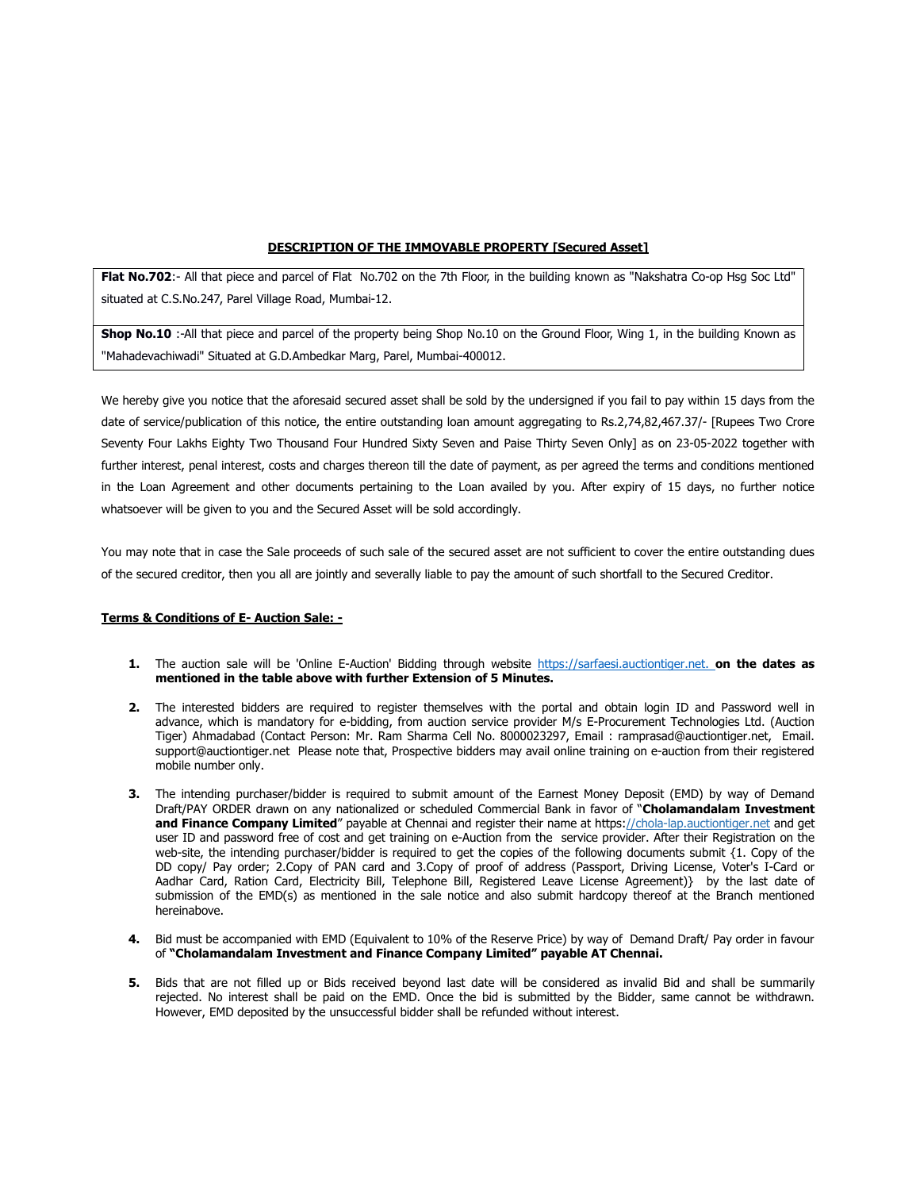## DESCRIPTION OF THE IMMOVABLE PROPERTY [Secured Asset]

Flat No.702:- All that piece and parcel of Flat No.702 on the 7th Floor, in the building known as "Nakshatra Co-op Hsg Soc Ltd" situated at C.S.No.247, Parel Village Road, Mumbai-12.

Shop No.10 :-All that piece and parcel of the property being Shop No.10 on the Ground Floor, Wing 1, in the building Known as "Mahadevachiwadi" Situated at G.D.Ambedkar Marg, Parel, Mumbai-400012.

We hereby give you notice that the aforesaid secured asset shall be sold by the undersigned if you fail to pay within 15 days from the date of service/publication of this notice, the entire outstanding loan amount aggregating to Rs.2,74,82,467.37/- [Rupees Two Crore Seventy Four Lakhs Eighty Two Thousand Four Hundred Sixty Seven and Paise Thirty Seven Only] as on 23-05-2022 together with further interest, penal interest, costs and charges thereon till the date of payment, as per agreed the terms and conditions mentioned in the Loan Agreement and other documents pertaining to the Loan availed by you. After expiry of 15 days, no further notice whatsoever will be given to you and the Secured Asset will be sold accordingly.

You may note that in case the Sale proceeds of such sale of the secured asset are not sufficient to cover the entire outstanding dues of the secured creditor, then you all are jointly and severally liable to pay the amount of such shortfall to the Secured Creditor.

## Terms & Conditions of E- Auction Sale: -

- 1. The auction sale will be 'Online E-Auction' Bidding through website https://sarfaesi.auctiontiger.net. on the dates as mentioned in the table above with further Extension of 5 Minutes.
- 2. The interested bidders are required to register themselves with the portal and obtain login ID and Password well in advance, which is mandatory for e-bidding, from auction service provider M/s E-Procurement Technologies Ltd. (Auction Tiger) Ahmadabad (Contact Person: Mr. Ram Sharma Cell No. 8000023297, Email : ramprasad@auctiontiger.net, Email. support@auctiontiger.net Please note that, Prospective bidders may avail online training on e-auction from their registered mobile number only.
- 3. The intending purchaser/bidder is required to submit amount of the Earnest Money Deposit (EMD) by way of Demand Draft/PAY ORDER drawn on any nationalized or scheduled Commercial Bank in favor of "Cholamandalam Investment and Finance Company Limited" payable at Chennai and register their name at https://chola-lap.auctiontiger.net and get user ID and password free of cost and get training on e-Auction from the service provider. After their Registration on the web-site, the intending purchaser/bidder is required to get the copies of the following documents submit {1. Copy of the DD copy/ Pay order; 2.Copy of PAN card and 3.Copy of proof of address (Passport, Driving License, Voter's I-Card or Aadhar Card, Ration Card, Electricity Bill, Telephone Bill, Registered Leave License Agreement)} by the last date of submission of the EMD(s) as mentioned in the sale notice and also submit hardcopy thereof at the Branch mentioned hereinabove.
- 4. Bid must be accompanied with EMD (Equivalent to 10% of the Reserve Price) by way of Demand Draft/ Pay order in favour of "Cholamandalam Investment and Finance Company Limited" payable AT Chennai.
- 5. Bids that are not filled up or Bids received beyond last date will be considered as invalid Bid and shall be summarily rejected. No interest shall be paid on the EMD. Once the bid is submitted by the Bidder, same cannot be withdrawn. However, EMD deposited by the unsuccessful bidder shall be refunded without interest.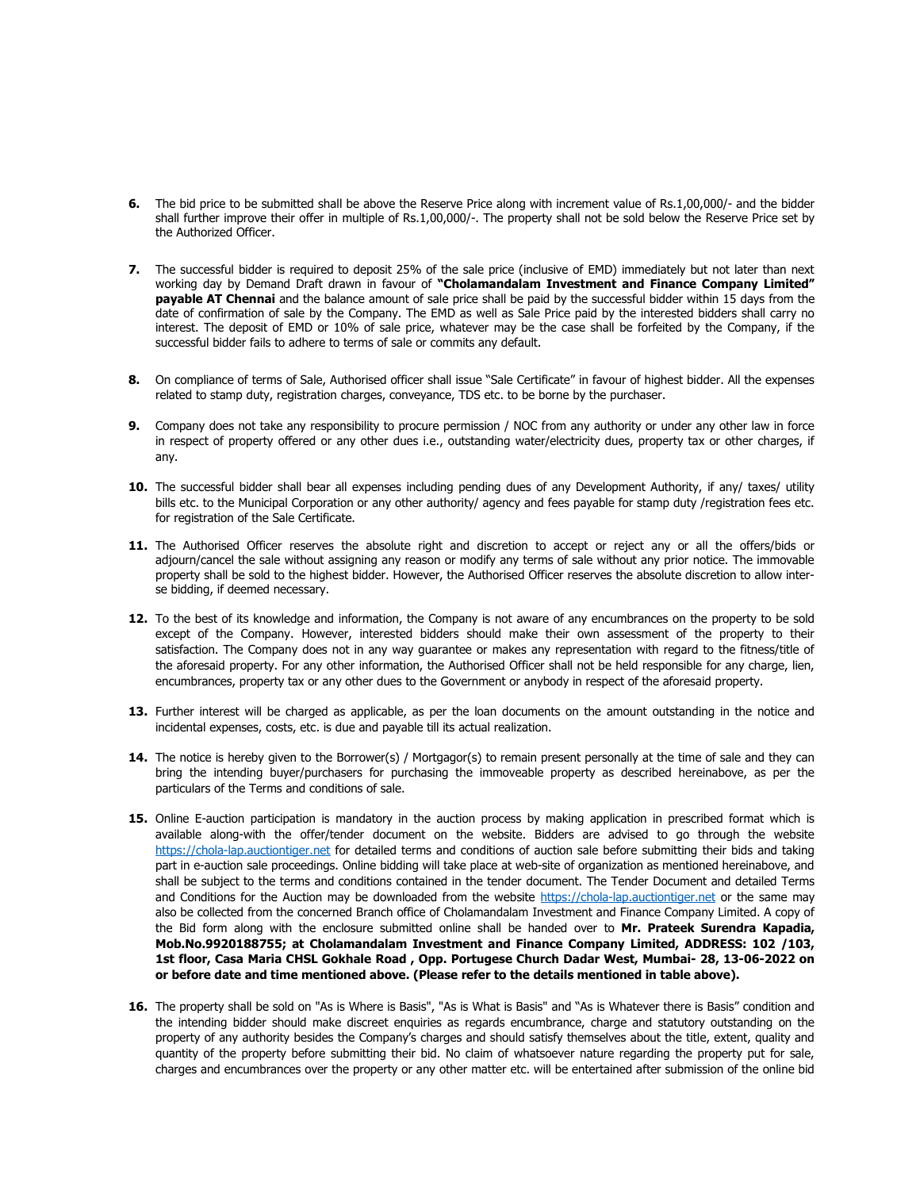- 6. The bid price to be submitted shall be above the Reserve Price along with increment value of Rs.1,00,000/- and the bidder shall further improve their offer in multiple of Rs.1,00,000/-. The property shall not be sold below the Reserve Price set by the Authorized Officer.
- 7. The successful bidder is required to deposit 25% of the sale price (inclusive of EMD) immediately but not later than next working day by Demand Draft drawn in favour of "Cholamandalam Investment and Finance Company Limited" payable AT Chennai and the balance amount of sale price shall be paid by the successful bidder within 15 days from the date of confirmation of sale by the Company. The EMD as well as Sale Price paid by the interested bidders shall carry no interest. The deposit of EMD or 10% of sale price, whatever may be the case shall be forfeited by the Company, if the successful bidder fails to adhere to terms of sale or commits any default.
- 8. On compliance of terms of Sale, Authorised officer shall issue "Sale Certificate" in favour of highest bidder. All the expenses related to stamp duty, registration charges, conveyance, TDS etc. to be borne by the purchaser.
- 9. Company does not take any responsibility to procure permission / NOC from any authority or under any other law in force in respect of property offered or any other dues i.e., outstanding water/electricity dues, property tax or other charges, if any.
- 10. The successful bidder shall bear all expenses including pending dues of any Development Authority, if any/ taxes/ utility bills etc. to the Municipal Corporation or any other authority/ agency and fees payable for stamp duty /registration fees etc. for registration of the Sale Certificate.
- 11. The Authorised Officer reserves the absolute right and discretion to accept or reject any or all the offers/bids or adjourn/cancel the sale without assigning any reason or modify any terms of sale without any prior notice. The immovable property shall be sold to the highest bidder. However, the Authorised Officer reserves the absolute discretion to allow interse bidding, if deemed necessary.
- 12. To the best of its knowledge and information, the Company is not aware of any encumbrances on the property to be sold except of the Company. However, interested bidders should make their own assessment of the property to their satisfaction. The Company does not in any way guarantee or makes any representation with regard to the fitness/title of the aforesaid property. For any other information, the Authorised Officer shall not be held responsible for any charge, lien, encumbrances, property tax or any other dues to the Government or anybody in respect of the aforesaid property.
- 13. Further interest will be charged as applicable, as per the loan documents on the amount outstanding in the notice and incidental expenses, costs, etc. is due and payable till its actual realization.
- 14. The notice is hereby given to the Borrower(s) / Mortgagor(s) to remain present personally at the time of sale and they can bring the intending buyer/purchasers for purchasing the immoveable property as described hereinabove, as per the particulars of the Terms and conditions of sale.
- 15. Online E-auction participation is mandatory in the auction process by making application in prescribed format which is available along-with the offer/tender document on the website. Bidders are advised to go through the website https://chola-lap.auctiontiger.net for detailed terms and conditions of auction sale before submitting their bids and taking part in e-auction sale proceedings. Online bidding will take place at web-site of organization as mentioned hereinabove, and shall be subject to the terms and conditions contained in the tender document. The Tender Document and detailed Terms and Conditions for the Auction may be downloaded from the website https://chola-lap.auctiontiger.net or the same may also be collected from the concerned Branch office of Cholamandalam Investment and Finance Company Limited. A copy of the Bid form along with the enclosure submitted online shall be handed over to Mr. Prateek Surendra Kapadia, Mob.No.9920188755; at Cholamandalam Investment and Finance Company Limited, ADDRESS: 102 /103, 1st floor, Casa Maria CHSL Gokhale Road , Opp. Portugese Church Dadar West, Mumbai- 28, 13-06-2022 on or before date and time mentioned above. (Please refer to the details mentioned in table above).
- 16. The property shall be sold on "As is Where is Basis", "As is What is Basis" and "As is Whatever there is Basis" condition and the intending bidder should make discreet enquiries as regards encumbrance, charge and statutory outstanding on the property of any authority besides the Company's charges and should satisfy themselves about the title, extent, quality and quantity of the property before submitting their bid. No claim of whatsoever nature regarding the property put for sale, charges and encumbrances over the property or any other matter etc. will be entertained after submission of the online bid